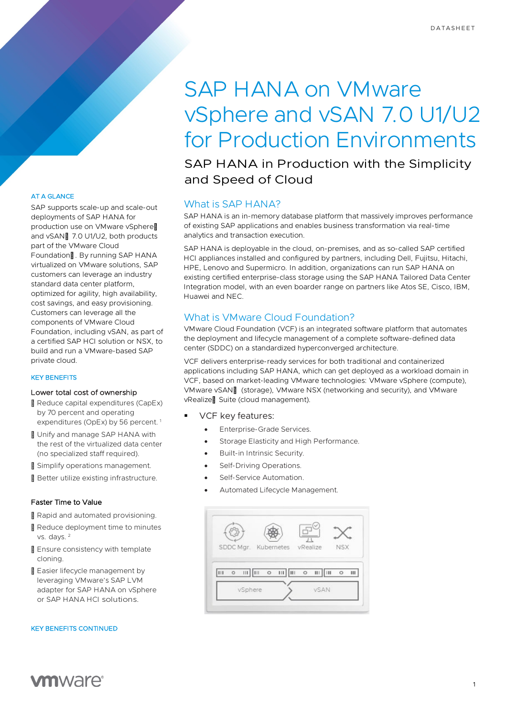# SAP HANA on VMware vSphere and vSAN 7.0 U1/U2 for Production Environments

SAP HANA in Production with the Simplicity and Speed of Cloud

# What is SAP HANA?

SAP HANA is an in-memory database platform that massively improves performance of existing SAP applications and enables business transformation via real-time analytics and transaction execution.

SAP HANA is deployable in the cloud, on-premises, and as so-called SAP certified HCI appliances installed and configured by partners, including Dell, Fujitsu, Hitachi, HPE, Lenovo and Supermicro. In addition, organizations can run SAP HANA on existing certified enterprise-class storage using the SAP HANA Tailored Data Center Integration model, with an even boarder range on partners like Atos SE, Cisco, IBM, Huawei and NEC.

# What is VMware Cloud Foundation?

VMware Cloud Foundation (VCF) is an integrated software platform that automates the deployment and lifecycle management of a complete software-defined data center (SDDC) on a standardized hyperconverged architecture.

VCF delivers enterprise-ready services for both traditional and containerized applications including SAP HANA, which can get deployed as a workload domain in VCF, based on market-leading VMware technologies: VMware vSphere (compute), VMware vSAN™ (storage), VMware NSX (networking and security), and VMware vRealize™Suite (cloud management).

VCF key features:

- Enterprise-Grade Services.
- Storage Elasticity and High Performance.
- Built-in Intrinsic Security.
- Self-Driving Operations.
- Self-Service Automation.
- Automated Lifecycle Management.

| SDDC Mgr. Kubernetes vRealize |                  |                   | <b>NSX</b>   |   |
|-------------------------------|------------------|-------------------|--------------|---|
|                               |                  |                   |              |   |
| <br>Ш<br>III<br>$\circ$       | <br>$\circ$<br>ı | Ш<br>Ш<br>$\circ$ | Ш<br>$\circ$ | Ш |
| vSphere                       |                  |                   | <b>vSAN</b>  |   |

# AT A GLANCE

SAP supports scale-up and scale-out deployments of SAP HANA for production use on VMware vSphere™ and vSAN™7.0 U1/U2, both products part of the VMware Cloud Foundation<sup>™</sup> By running SAP HANA virtualized on VMware solutions, SAP customers can leverage an industry standard data center platform, optimized for agility, high availability, cost savings, and easy provisioning. Customers can leverage all the components of VMware Cloud Foundation, including vSAN, as part of a certified SAP HCI solution or NSX, to build and run a VMware-based SAP private cloud.

#### KEY BENEFITS

#### Lower total cost of ownership

- Reduce capital expenditures (CapEx) by 70 percent and operating expenditures (OpEx) by 56 percent.<sup>1</sup>
- Unify and manage SAP HANA with the rest of the virtualized data center (no specialized staff required).
- Simplify operations management.
- Better utilize existing infrastructure.

#### Faster Time to Value

Rapid and automated provisioning.

- Reduce deployment time to minutes vs. days. <sup>2</sup>
- Ensure consistency with template cloning.
- Easier lifecycle management by leveraging VMware's SAP LVM adapter for SAP HANA on vSphere or SAP HANA HCI solutions.

#### KEY BENEFITS CONTINUED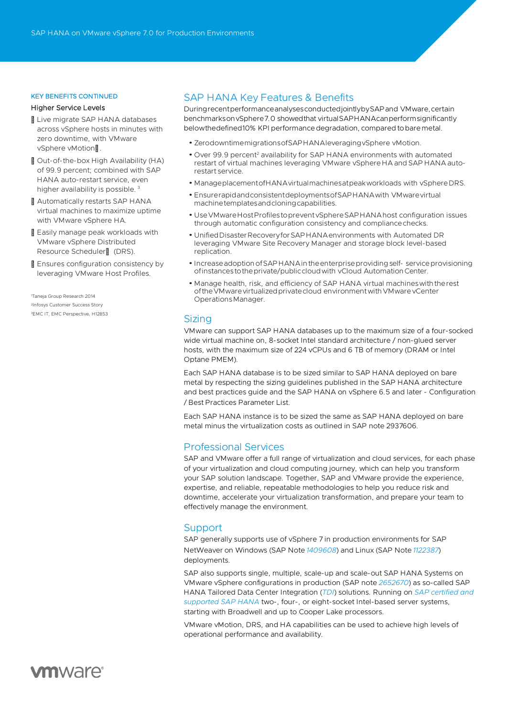#### KEY BENEFITS CONTINUED

#### Higher Service Levels

- TMLive migrate SAP HANA databases across vSphere hosts in minutes with zero downtime, with VMware vSphere vMotion™:
- TMOut-of-the-box High Availability (HA) of 99.9 percent; combined with SAP HANA auto-restart service, even higher availability is possible.<sup>3</sup>
- Automatically restarts SAP HANA virtual machines to maximize uptime with VMware vSphere HA.
- Easily manage peak workloads with VMware vSphere Distributed Resource Scheduler™ (DRS).
- Ensures configuration consistency by leveraging VMware Host Profiles.

1 Taneja Group Research 2014 2Infosys Customer Success Story 3EMC IT, EMC Perspective, H12853

# SAP HANA Key Features & Benefits

DuringrecentperformanceanalysesconductedjointlybySAPand VMware,certain benchmarksonvSphere7.0 showedthat virtualSAPHANAcanperformsignificantly belowthedefined10% KPI performancedegradation, compared tobare metal.

- ZerodowntimemigrationsofSAPHANAleveragingvSphere vMotion.
- Over 99.9 percent<sup>2</sup> availability for SAP HANA environments with automated restart of virtual machines leveraging VMware vSphere HA and SAP HANA autorestart service.
- ManageplacementofHANAvirtualmachinesatpeakworkloads with vSphereDRS.
- EnsurerapidandconsistentdeploymentsofSAPHANAwith VMwarevirtual machinetemplatesandcloningcapabilities.
- UseVMwareHostProfilestopreventvSphereSAP HANAhost configuration issues through automatic configuration consistency and compliancechecks.
- UnifiedDisasterRecoveryforSAP HANAenvironments with Automated DR leveraging VMware Site Recovery Manager and storage block level-based replication.
- IncreaseadoptionofSAP HANAintheenterpriseprovidingself- serviceprovisioning of instances to the private/public cloud with vCloud Automation Center.
- Manage health, risk, and efficiency of SAP HANA virtual machineswiththerest of the VM ware virtualized private cloud environment with VM ware vCenter OperationsManager.

# **Sizing**

VMware can support SAP HANA databases up to the maximum size of a four-socked wide virtual machine on, 8-socket Intel standard architecture / non-glued server hosts, with the maximum size of 224 vCPUs and 6 TB of memory (DRAM or Intel Optane PMEM).

Each SAP HANA database is to be sized similar to SAP HANA deployed on bare metal by respecting the sizing guidelines published in the [SAP HANA architecture](http://www.vmware.com/business-critical-apps/sap-virtualization/sap-hana.html)  [and best practices](http://www.vmware.com/business-critical-apps/sap-virtualization/sap-hana.html) [guide](http://www.vmware.com/business-critical-apps/sap-virtualization/sap-hana.html) and th[e SAP HANA on vSphere 6.5 and later -](https://core.vmware.com/resource/sap-hana-hyperconverged-infrastructure-hci-solutions-powered-vmware-vsan%E2%84%A2#section9) Configuration / Best [Practices Parameter List.](https://core.vmware.com/resource/sap-hana-hyperconverged-infrastructure-hci-solutions-powered-vmware-vsan%E2%84%A2#section9)

Each SAP HANA instance is to be sized the same as SAP HANA deployed on bare metal minus the virtualization costs as outlined in SAP note [2937606.](https://launchpad.support.sap.com/#/notes/2937606)

# Professional Services

SAP and VMware offer a full range of virtualization and cloud services, for each phase of your virtualization and cloud computing journey, which can help you transform your SAP solution landscape. Together, SAP and VMware provide the experience, expertise, and reliable, repeatable methodologies to help you reduce risk and downtime, accelerate your virtualization transformation, and prepare your team to effectively manage the environment.

# **Support**

SAP generally supports use of vSphere 7 in production environments for SAP NetWeaver on Windows (SAP Note *[1409608](https://launchpad.support.sap.com/#/notes/1409608)*) and Linux (SAP Note *[1122387](https://launchpad.support.sap.com/#/notes/1122387)*) deployments.

SAP also supports single, multiple, scale-up and scale-out SAP HANA Systems on VMware vSphere configurations in production (SAP note *[2652670](https://launchpad.support.sap.com/#/notes/2652670)*) as so-called SAP HANA Tailored Data Center Integration (*[TDI](http://www.saphana.com/docs/DOC-4380)*) solutions. Running on *[SAP certified and](https://www.sap.com/dmc/exp/2014-09-02-hana-hardware/enEN/#/solutions?filters=v:deCertified)  [supported SAP HANA](https://www.sap.com/dmc/exp/2014-09-02-hana-hardware/enEN/#/solutions?filters=v:deCertified)* two-, four-, or eight-socket Intel-based server systems, starting with Broadwell and up to Cooper Lake processors.

VMware vMotion, DRS, and HA capabilities can be used to achieve high levels of operational performance and availability.

# **vm**ware<sup>®</sup>